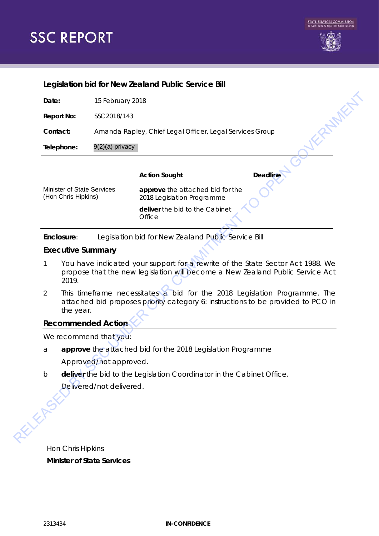# **SSC REPORT**



#### **Legislation bid for New Zealand Public Service Bill**

| Contact:                                          |                                                                              | Amanda Rapley, Chief Legal Officer, Legal Services Group                                                                                                        | KEREMEN                        |
|---------------------------------------------------|------------------------------------------------------------------------------|-----------------------------------------------------------------------------------------------------------------------------------------------------------------|--------------------------------|
| Telephone:                                        | 9(2)(a) privacy                                                              |                                                                                                                                                                 |                                |
|                                                   |                                                                              |                                                                                                                                                                 |                                |
|                                                   |                                                                              | <b>Action Sought</b>                                                                                                                                            | <b>Deadline</b>                |
| Minister of State Services<br>(Hon Chris Hipkins) |                                                                              | approve the attached bid for the<br>2018 Legislation Programme                                                                                                  |                                |
|                                                   |                                                                              | Office                                                                                                                                                          | deliver the bid to the Cabinet |
| Enclosure:                                        |                                                                              | Legislation bid for New Zealand Public Service Bill                                                                                                             |                                |
|                                                   |                                                                              |                                                                                                                                                                 |                                |
|                                                   | <b>Executive Summary</b>                                                     |                                                                                                                                                                 |                                |
| 1<br>2019.                                        |                                                                              | You have indicated your support for a rewrite of the State Sector Act 1988. We<br>propose that the new legislation will become a New Zealand Public Service Act |                                |
| 2                                                 | the year.                                                                    | This timeframe necessitates a bid for the 2018 Legislation Programme. The<br>attached bid proposes priority category 6: instructions to be provided to PCO in   |                                |
|                                                   | <b>Recommended Action</b>                                                    |                                                                                                                                                                 |                                |
|                                                   | We recommend that you:                                                       |                                                                                                                                                                 |                                |
| a                                                 |                                                                              | approve the attached bid for the 2018 Legislation Programme                                                                                                     |                                |
|                                                   | Approved/not approved.                                                       |                                                                                                                                                                 |                                |
|                                                   | Josephon<br>Josephon<br>Delivered/not delivered.<br>Delivered/not delivered. | deliver the bid to the Legislation Coordinator in the Cabinet Office.                                                                                           |                                |

#### **Executive Summary**

- 1 You have indicated your support for a rewrite of the State Sector Act 1988. We propose that the new legislation will become a New Zealand Public Service Act 2019.
- 2 This timeframe necessitates a bid for the 2018 Legislation Programme. The attached bid proposes priority category 6: instructions to be provided to PCO in the year.

## **Recommended Action**

- a **approve** the attached bid for the 2018 Legislation Programme *Approved/not approved.*
- b **deliver** the bid to the Legislation Coordinator in the Cabinet Office. *Delivered/not delivered.*

Hon Chris Hipkins **Minister of State Services**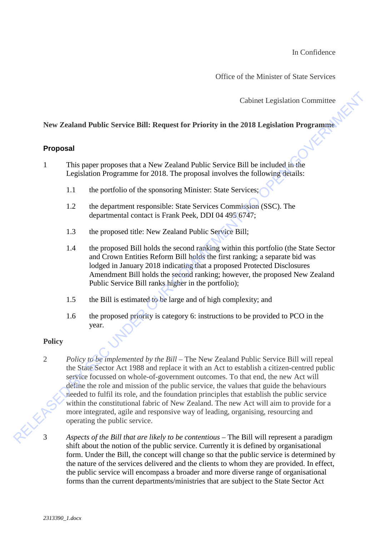In Confidence

Office of the Minister of State Services

Cabinet Legislation Committee

# **New Zealand Public Service Bill: Request for Priority in the 2018 Legislation Programme**

#### **Proposal**

1 This paper proposes that a New Zealand Public Service Bill be included in the Legislation Programme for 2018. The proposal involves the following details:

- 1.1 the portfolio of the sponsoring Minister: State Services;
- 1.2 the department responsible: State Services Commission (SSC). The departmental contact is Frank Peek, DDI 04 495 6747;
- 1.3 the proposed title: New Zealand Public Service Bill;
- 1.4 the proposed Bill holds the second ranking within this portfolio (the State Sector and Crown Entities Reform Bill holds the first ranking; a separate bid was lodged in January 2018 indicating that a proposed Protected Disclosures Amendment Bill holds the second ranking; however, the proposed New Zealand Public Service Bill ranks higher in the portfolio);
- 1.5 the Bill is estimated to be large and of high complexity; and
- 1.6 the proposed priority is category 6: instructions to be provided to PCO in the year.

## **Policy**

2 *Policy to be implemented by the Bill* – The New Zealand Public Service Bill will repeal the State Sector Act 1988 and replace it with an Act to establish a citizen-centred public service focussed on whole-of-government outcomes. To that end, the new Act will define the role and mission of the public service, the values that guide the behaviours needed to fulfil its role, and the foundation principles that establish the public service within the constitutional fabric of New Zealand. The new Act will aim to provide for a more integrated, agile and responsive way of leading, organising, resourcing and operating the public service. Cabine I Legislation Committee<br> **Proposal**<br> **Proposal**<br> **Proposal**<br> **Proposal**<br> **Proposal**<br> **Proposal**<br> **Proposal**<br> **Proposal**<br> **Proposal**<br> **Proposal**<br> **Proposal**<br> **Proposal**<br> **Equidion Proposanities of Relation Proposali** 

3 *Aspects of the Bill that are likely to be contentious* – The Bill will represent a paradigm shift about the notion of the public service. Currently it is defined by organisational form. Under the Bill, the concept will change so that the public service is determined by the nature of the services delivered and the clients to whom they are provided. In effect, the public service will encompass a broader and more diverse range of organisational forms than the current departments/ministries that are subject to the State Sector Act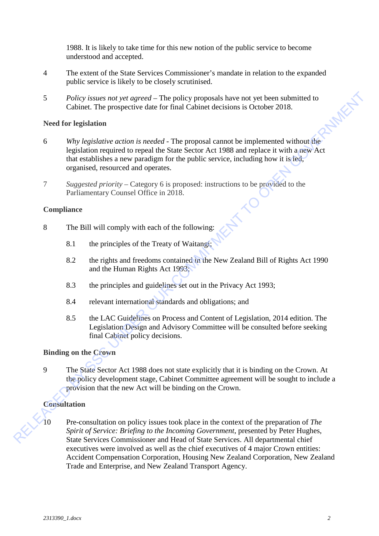1988. It is likely to take time for this new notion of the public service to become understood and accepted.

- 4 The extent of the State Services Commissioner's mandate in relation to the expanded public service is likely to be closely scrutinised.
- 5 *Policy issues not yet agreed* The policy proposals have not yet been submitted to Cabinet. The prospective date for final Cabinet decisions is October 2018.<br>Need for legislation Cabinet. The prospective date for final Cabinet decisions is October 2018.

#### **Need for legislation**

- 6 *Why legislative action is needed* The proposal cannot be implemented without the legislation required to repeal the State Sector Act 1988 and replace it with a new Act that establishes a new paradigm for the public service, including how it is led, organised, resourced and operates. Follow issues not yet agreed – The policy proposals have not yet been submitted to<br>
Cabinet Chees and Committee due for final Cabinet decisions is October 2018.<br>
Need for legislation reprise due for final Cabinet decision
	- 7 *Suggested priority* Category 6 is proposed: instructions to be provided to the Parliamentary Counsel Office in 2018.

#### **Compliance**

- 8 The Bill will comply with each of the following:
	- 8.1 the principles of the Treaty of Waitangi;
	- 8.2 the rights and freedoms contained in the New Zealand Bill of Rights Act 1990 and the Human Rights Act 1993;
	- 8.3 the principles and guidelines set out in the Privacy Act 1993;
	- 8.4 relevant international standards and obligations; and
	- 8.5 the LAC Guidelines on Process and Content of Legislation, 2014 edition. The Legislation Design and Advisory Committee will be consulted before seeking final Cabinet policy decisions.

## **Binding on the Crown**

9 The State Sector Act 1988 does not state explicitly that it is binding on the Crown. At the policy development stage, Cabinet Committee agreement will be sought to include a provision that the new Act will be binding on the Crown.

#### **Consultation**

10 Pre-consultation on policy issues took place in the context of the preparation of *The Spirit of Service: Briefing to the Incoming Government*, presented by Peter Hughes, State Services Commissioner and Head of State Services. All departmental chief executives were involved as well as the chief executives of 4 major Crown entities: Accident Compensation Corporation, Housing New Zealand Corporation, New Zealand Trade and Enterprise, and New Zealand Transport Agency.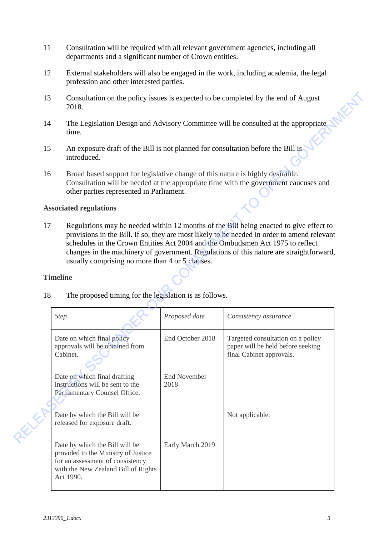- 11 Consultation will be required with all relevant government agencies, including all departments and a significant number of Crown entities.
- 12 External stakeholders will also be engaged in the work, including academia, the legal profession and other interested parties.
- 13 Consultation on the policy issues is expected to be completed by the end of August 2018.
- 14 The Legislation Design and Advisory Committee will be consulted at the appropriate time.
- 15 An exposure draft of the Bill is not planned for consultation before the Bill is introduced.
- 16 Broad based support for legislative change of this nature is highly desirable. Consultation will be needed at the appropriate time with the government caucuses and other parties represented in Parliament.

#### **Associated regulations**

#### **Timeline**

| 13 | Consultation on the policy issues is expected to be completed by the end of August<br>2018.                                                                                                                        |                             |                                                                                                                                                                                                                                                                                                                                                                    |  |  |  |  |  |  |
|----|--------------------------------------------------------------------------------------------------------------------------------------------------------------------------------------------------------------------|-----------------------------|--------------------------------------------------------------------------------------------------------------------------------------------------------------------------------------------------------------------------------------------------------------------------------------------------------------------------------------------------------------------|--|--|--|--|--|--|
| 14 | The Legislation Design and Advisory Committee will be consulted at the appropriate<br>time.                                                                                                                        |                             |                                                                                                                                                                                                                                                                                                                                                                    |  |  |  |  |  |  |
| 15 | An exposure draft of the Bill is not planned for consultation before the Bill is<br>introduced.                                                                                                                    |                             |                                                                                                                                                                                                                                                                                                                                                                    |  |  |  |  |  |  |
| 16 | Broad based support for legislative change of this nature is highly desirable.<br>Consultation will be needed at the appropriate time with the government caucuses and<br>other parties represented in Parliament. |                             |                                                                                                                                                                                                                                                                                                                                                                    |  |  |  |  |  |  |
|    | <b>Associated regulations</b>                                                                                                                                                                                      |                             |                                                                                                                                                                                                                                                                                                                                                                    |  |  |  |  |  |  |
| 17 | usually comprising no more than 4 or 5 clauses.<br><b>Timeline</b>                                                                                                                                                 |                             | Regulations may be needed within 12 months of the Bill being enacted to give effect to<br>provisions in the Bill. If so, they are most likely to be needed in order to amend relevant<br>schedules in the Crown Entities Act 2004 and the Ombudsmen Act 1975 to reflect<br>changes in the machinery of government. Regulations of this nature are straightforward, |  |  |  |  |  |  |
|    |                                                                                                                                                                                                                    |                             |                                                                                                                                                                                                                                                                                                                                                                    |  |  |  |  |  |  |
|    | 18<br>The proposed timing for the legislation is as follows.                                                                                                                                                       |                             |                                                                                                                                                                                                                                                                                                                                                                    |  |  |  |  |  |  |
|    | <b>Step</b>                                                                                                                                                                                                        | Proposed date               | Consistency assurance                                                                                                                                                                                                                                                                                                                                              |  |  |  |  |  |  |
|    | Date on which final policy<br>approvals will be obtained from<br>Cabinet.                                                                                                                                          | End October 2018            | Targeted consultation on a policy<br>paper will be held before seeking<br>final Cabinet approvals.                                                                                                                                                                                                                                                                 |  |  |  |  |  |  |
|    | Date on which final drafting<br>instructions will be sent to the<br>Parliamentary Counsel Office.                                                                                                                  | <b>End November</b><br>2018 |                                                                                                                                                                                                                                                                                                                                                                    |  |  |  |  |  |  |
|    | Date by which the Bill will be<br>released for exposure draft.                                                                                                                                                     |                             | Not applicable.                                                                                                                                                                                                                                                                                                                                                    |  |  |  |  |  |  |
|    | Date by which the Bill will be<br>provided to the Ministry of Justice<br>for an assessment of consistency<br>with the New Zealand Bill of Rights<br>Act 1990.                                                      | Early March 2019            |                                                                                                                                                                                                                                                                                                                                                                    |  |  |  |  |  |  |